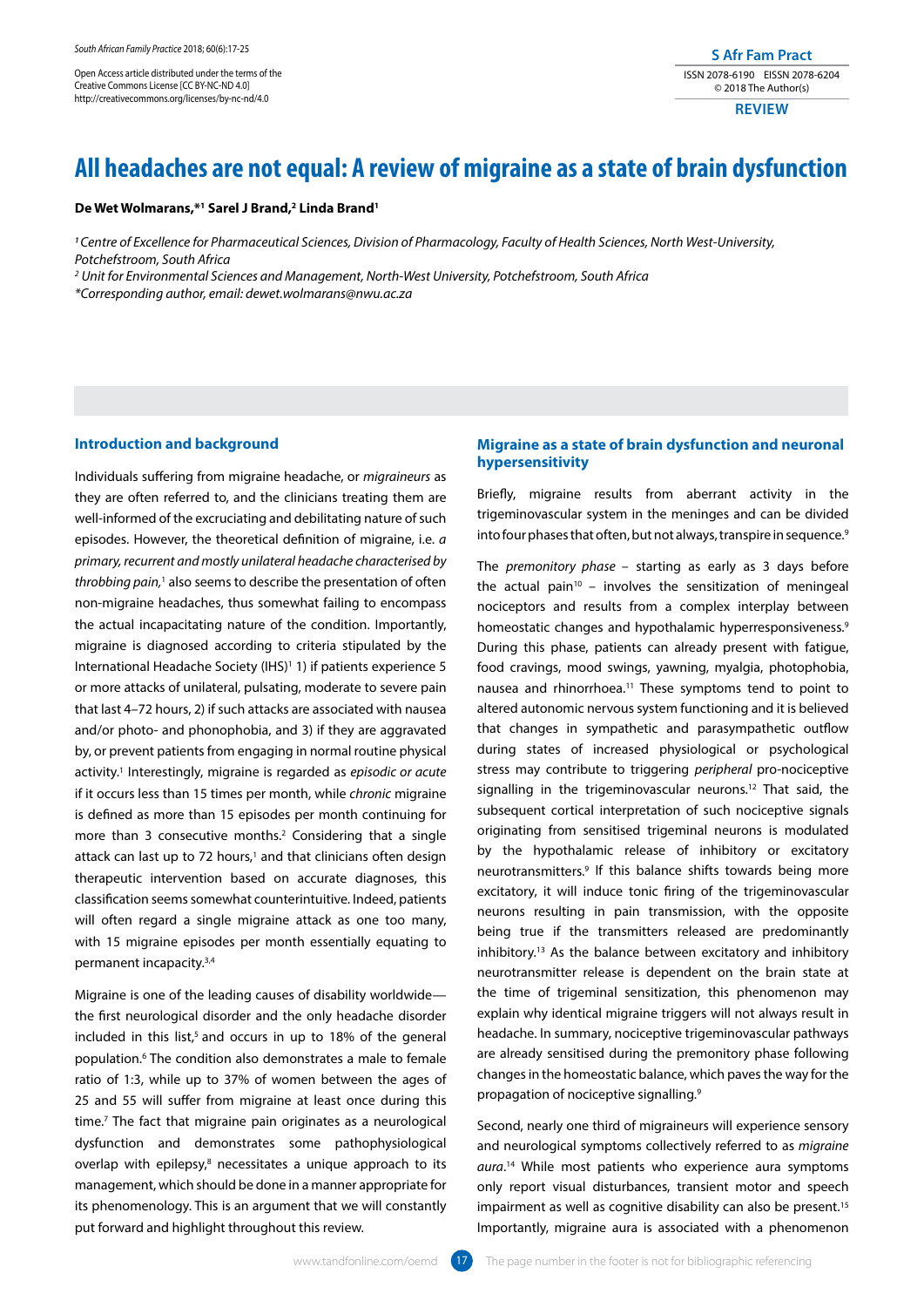Open Access article distributed under the terms of the Creative Commons License [CC BY-NC-ND 4.0] http://creativecommons.org/licenses/by-nc-nd/4.0

# **All headaches are not equal: A review of migraine as a state of brain dysfunction**

#### **De Wet Wolmarans,\*1 Sarel J Brand,2 Linda Brand1**

*1 Centre of Excellence for Pharmaceutical Sciences, Division of Pharmacology, Faculty of Health Sciences, North West-University, Potchefstroom, South Africa*

*2 Unit for Environmental Sciences and Management, North-West University, Potchefstroom, South Africa*

*\*Corresponding author, email: dewet.wolmarans@nwu.ac.za*

# **Introduction and background**

Individuals suffering from migraine headache, or *migraineurs* as they are often referred to, and the clinicians treating them are well-informed of the excruciating and debilitating nature of such episodes. However, the theoretical definition of migraine, i.e. *a primary, recurrent and mostly unilateral headache characterised by throbbing pain,*1 also seems to describe the presentation of often non-migraine headaches, thus somewhat failing to encompass the actual incapacitating nature of the condition. Importantly, migraine is diagnosed according to criteria stipulated by the International Headache Society (IHS)<sup>1</sup> 1) if patients experience 5 or more attacks of unilateral, pulsating, moderate to severe pain that last 4–72 hours, 2) if such attacks are associated with nausea and/or photo- and phonophobia, and 3) if they are aggravated by, or prevent patients from engaging in normal routine physical activity.1 Interestingly, migraine is regarded as *episodic or acute* if it occurs less than 15 times per month, while *chronic* migraine is defined as more than 15 episodes per month continuing for more than 3 consecutive months.<sup>2</sup> Considering that a single attack can last up to 72 hours, $1$  and that clinicians often design therapeutic intervention based on accurate diagnoses, this classification seems somewhat counterintuitive. Indeed, patients will often regard a single migraine attack as one too many, with 15 migraine episodes per month essentially equating to permanent incapacity.3,4

Migraine is one of the leading causes of disability worldwide the first neurological disorder and the only headache disorder included in this list,<sup>5</sup> and occurs in up to 18% of the general population.6 The condition also demonstrates a male to female ratio of 1:3, while up to 37% of women between the ages of 25 and 55 will suffer from migraine at least once during this time.7 The fact that migraine pain originates as a neurological dysfunction and demonstrates some pathophysiological overlap with epilepsy, $8$  necessitates a unique approach to its management, which should be done in a manner appropriate for its phenomenology. This is an argument that we will constantly put forward and highlight throughout this review.

# **Migraine as a state of brain dysfunction and neuronal hypersensitivity**

**S Afr Fam Pract** ISSN 2078-6190 EISSN 2078-6204 © 2018 The Author(s) **REVIEW**

Briefly, migraine results from aberrant activity in the trigeminovascular system in the meninges and can be divided into four phases that often, but not always, transpire in sequence.<sup>9</sup>

The *premonitory phase* – starting as early as 3 days before the actual pain<sup>10</sup> - involves the sensitization of meningeal nociceptors and results from a complex interplay between homeostatic changes and hypothalamic hyperresponsiveness.<sup>9</sup> During this phase, patients can already present with fatigue, food cravings, mood swings, yawning, myalgia, photophobia, nausea and rhinorrhoea.11 These symptoms tend to point to altered autonomic nervous system functioning and it is believed that changes in sympathetic and parasympathetic outflow during states of increased physiological or psychological stress may contribute to triggering *peripheral* pro-nociceptive signalling in the trigeminovascular neurons.<sup>12</sup> That said, the subsequent cortical interpretation of such nociceptive signals originating from sensitised trigeminal neurons is modulated by the hypothalamic release of inhibitory or excitatory neurotransmitters.9 If this balance shifts towards being more excitatory, it will induce tonic firing of the trigeminovascular neurons resulting in pain transmission, with the opposite being true if the transmitters released are predominantly inhibitory.13 As the balance between excitatory and inhibitory neurotransmitter release is dependent on the brain state at the time of trigeminal sensitization, this phenomenon may explain why identical migraine triggers will not always result in headache. In summary, nociceptive trigeminovascular pathways are already sensitised during the premonitory phase following changes in the homeostatic balance, which paves the way for the propagation of nociceptive signalling.9

Second, nearly one third of migraineurs will experience sensory and neurological symptoms collectively referred to as *migraine aura*. 14 While most patients who experience aura symptoms only report visual disturbances, transient motor and speech impairment as well as cognitive disability can also be present.<sup>15</sup> Importantly, migraine aura is associated with a phenomenon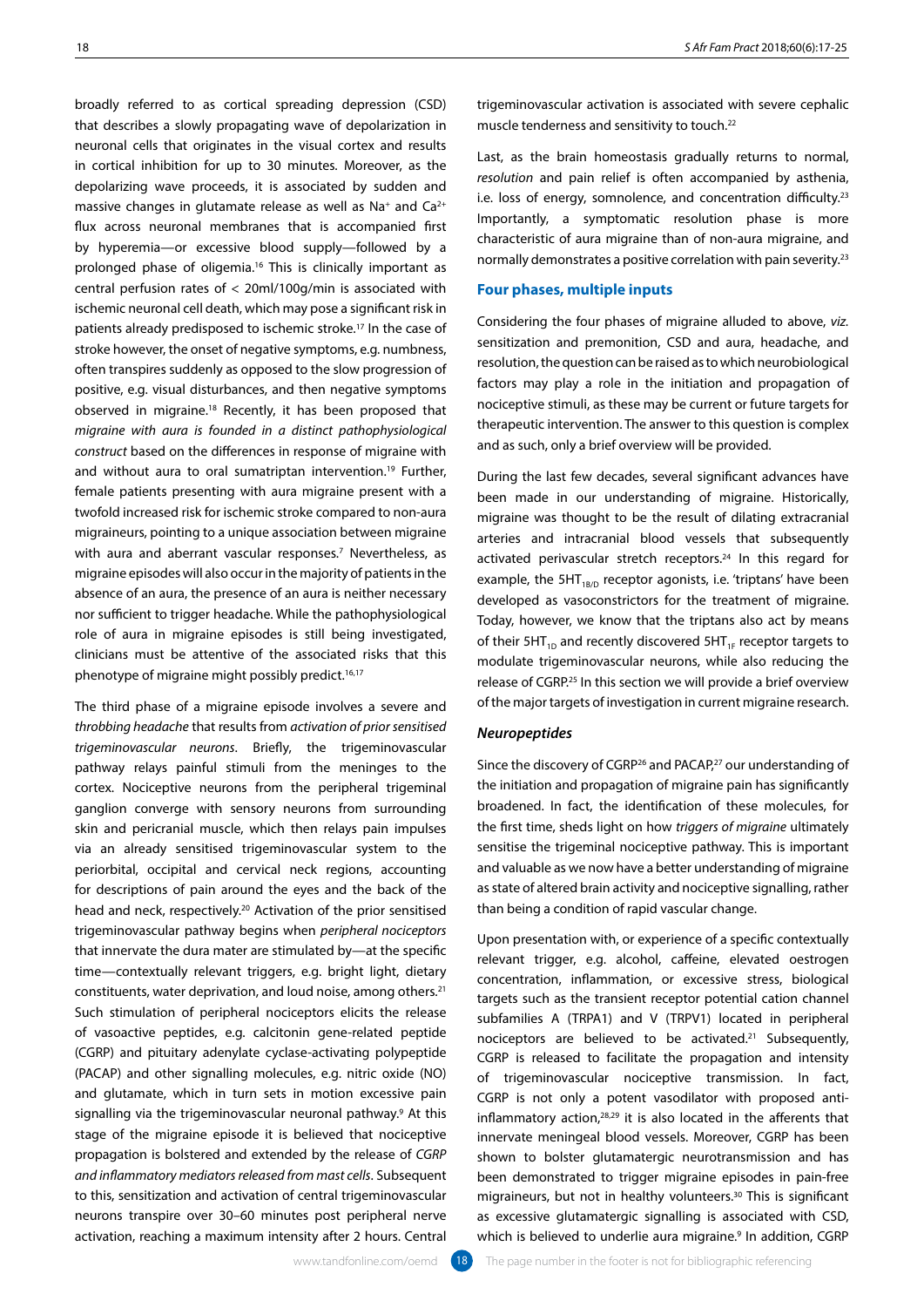broadly referred to as cortical spreading depression (CSD) that describes a slowly propagating wave of depolarization in neuronal cells that originates in the visual cortex and results in cortical inhibition for up to 30 minutes. Moreover, as the depolarizing wave proceeds, it is associated by sudden and massive changes in glutamate release as well as  $Na<sup>+</sup>$  and  $Ca<sup>2+</sup>$ flux across neuronal membranes that is accompanied first by hyperemia—or excessive blood supply—followed by a prolonged phase of oligemia.<sup>16</sup> This is clinically important as central perfusion rates of < 20ml/100g/min is associated with ischemic neuronal cell death, which may pose a significant risk in patients already predisposed to ischemic stroke.17 In the case of stroke however, the onset of negative symptoms, e.g. numbness, often transpires suddenly as opposed to the slow progression of positive, e.g. visual disturbances, and then negative symptoms observed in migraine.18 Recently, it has been proposed that *migraine with aura is founded in a distinct pathophysiological construct* based on the differences in response of migraine with and without aura to oral sumatriptan intervention.<sup>19</sup> Further, female patients presenting with aura migraine present with a twofold increased risk for ischemic stroke compared to non-aura migraineurs, pointing to a unique association between migraine with aura and aberrant vascular responses.<sup>7</sup> Nevertheless, as migraine episodes will also occur in the majority of patients in the absence of an aura, the presence of an aura is neither necessary nor sufficient to trigger headache. While the pathophysiological role of aura in migraine episodes is still being investigated, clinicians must be attentive of the associated risks that this phenotype of migraine might possibly predict.<sup>16,17</sup>

The third phase of a migraine episode involves a severe and *throbbing headache* that results from *activation of prior sensitised trigeminovascular neurons*. Briefly, the trigeminovascular pathway relays painful stimuli from the meninges to the cortex. Nociceptive neurons from the peripheral trigeminal ganglion converge with sensory neurons from surrounding skin and pericranial muscle, which then relays pain impulses via an already sensitised trigeminovascular system to the periorbital, occipital and cervical neck regions, accounting for descriptions of pain around the eyes and the back of the head and neck, respectively.20 Activation of the prior sensitised trigeminovascular pathway begins when *peripheral nociceptors* that innervate the dura mater are stimulated by—at the specific time—contextually relevant triggers, e.g. bright light, dietary constituents, water deprivation, and loud noise, among others.21 Such stimulation of peripheral nociceptors elicits the release of vasoactive peptides, e.g. calcitonin gene-related peptide (CGRP) and pituitary adenylate cyclase-activating polypeptide (PACAP) and other signalling molecules, e.g. nitric oxide (NO) and glutamate, which in turn sets in motion excessive pain signalling via the trigeminovascular neuronal pathway.<sup>9</sup> At this stage of the migraine episode it is believed that nociceptive propagation is bolstered and extended by the release of *CGRP and inflammatory mediators released from mast cells*. Subsequent to this, sensitization and activation of central trigeminovascular neurons transpire over 30–60 minutes post peripheral nerve activation, reaching a maximum intensity after 2 hours. Central

Last, as the brain homeostasis gradually returns to normal, *resolution* and pain relief is often accompanied by asthenia, i.e. loss of energy, somnolence, and concentration difficulty.<sup>23</sup> Importantly, a symptomatic resolution phase is more characteristic of aura migraine than of non-aura migraine, and normally demonstrates a positive correlation with pain severity.23

# **Four phases, multiple inputs**

Considering the four phases of migraine alluded to above, *viz.*  sensitization and premonition, CSD and aura, headache, and resolution, the question can be raised as to which neurobiological factors may play a role in the initiation and propagation of nociceptive stimuli, as these may be current or future targets for therapeutic intervention. The answer to this question is complex and as such, only a brief overview will be provided.

During the last few decades, several significant advances have been made in our understanding of migraine. Historically, migraine was thought to be the result of dilating extracranial arteries and intracranial blood vessels that subsequently activated perivascular stretch receptors.<sup>24</sup> In this regard for example, the  $5HT_{1B/D}$  receptor agonists, i.e. 'triptans' have been developed as vasoconstrictors for the treatment of migraine. Today, however, we know that the triptans also act by means of their 5HT $_{1D}$  and recently discovered 5HT $_{1F}$  receptor targets to modulate trigeminovascular neurons, while also reducing the release of CGRP.25 In this section we will provide a brief overview of the major targets of investigation in current migraine research.

# *Neuropeptides*

Since the discovery of CGRP<sup>26</sup> and PACAP,<sup>27</sup> our understanding of the initiation and propagation of migraine pain has significantly broadened. In fact, the identification of these molecules, for the first time, sheds light on how *triggers of migraine* ultimately sensitise the trigeminal nociceptive pathway. This is important and valuable as we now have a better understanding of migraine as state of altered brain activity and nociceptive signalling, rather than being a condition of rapid vascular change.

Upon presentation with, or experience of a specific contextually relevant trigger, e.g. alcohol, caffeine, elevated oestrogen concentration, inflammation, or excessive stress, biological targets such as the transient receptor potential cation channel subfamilies A (TRPA1) and V (TRPV1) located in peripheral nociceptors are believed to be activated.21 Subsequently, CGRP is released to facilitate the propagation and intensity of trigeminovascular nociceptive transmission. In fact, CGRP is not only a potent vasodilator with proposed antiinflammatory action, $28,29$  it is also located in the afferents that innervate meningeal blood vessels. Moreover, CGRP has been shown to bolster glutamatergic neurotransmission and has been demonstrated to trigger migraine episodes in pain-free migraineurs, but not in healthy volunteers.<sup>30</sup> This is significant as excessive glutamatergic signalling is associated with CSD, which is believed to underlie aura migraine.<sup>9</sup> In addition, CGRP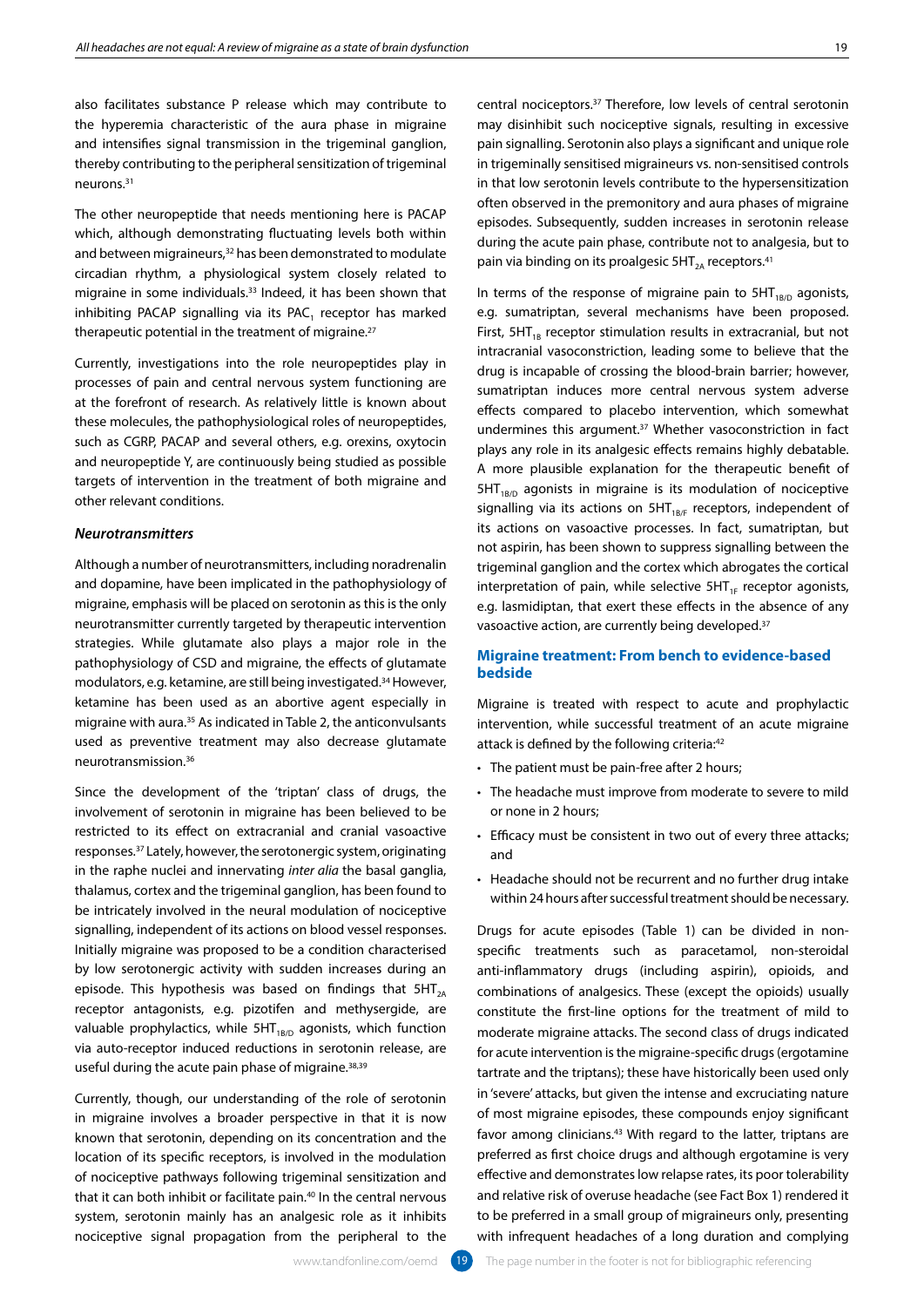also facilitates substance P release which may contribute to the hyperemia characteristic of the aura phase in migraine and intensifies signal transmission in the trigeminal ganglion, thereby contributing to the peripheral sensitization of trigeminal neurons.31

The other neuropeptide that needs mentioning here is PACAP which, although demonstrating fluctuating levels both within and between migraineurs,<sup>32</sup> has been demonstrated to modulate circadian rhythm, a physiological system closely related to migraine in some individuals.33 Indeed, it has been shown that inhibiting PACAP signalling via its  $PAC<sub>1</sub>$  receptor has marked therapeutic potential in the treatment of migraine.<sup>27</sup>

Currently, investigations into the role neuropeptides play in processes of pain and central nervous system functioning are at the forefront of research. As relatively little is known about these molecules, the pathophysiological roles of neuropeptides, such as CGRP, PACAP and several others, e.g. orexins, oxytocin and neuropeptide Y, are continuously being studied as possible targets of intervention in the treatment of both migraine and other relevant conditions.

# *Neurotransmitters*

Although a number of neurotransmitters, including noradrenalin and dopamine, have been implicated in the pathophysiology of migraine, emphasis will be placed on serotonin as this is the only neurotransmitter currently targeted by therapeutic intervention strategies. While glutamate also plays a major role in the pathophysiology of CSD and migraine, the effects of glutamate modulators, e.g. ketamine, are still being investigated.34 However, ketamine has been used as an abortive agent especially in migraine with aura.35 As indicated in Table 2, the anticonvulsants used as preventive treatment may also decrease glutamate neurotransmission.36

Since the development of the 'triptan' class of drugs, the involvement of serotonin in migraine has been believed to be restricted to its effect on extracranial and cranial vasoactive responses.37 Lately, however, the serotonergic system, originating in the raphe nuclei and innervating *inter alia* the basal ganglia, thalamus, cortex and the trigeminal ganglion, has been found to be intricately involved in the neural modulation of nociceptive signalling, independent of its actions on blood vessel responses. Initially migraine was proposed to be a condition characterised by low serotonergic activity with sudden increases during an episode. This hypothesis was based on findings that  $5HT_{24}$ receptor antagonists, e.g. pizotifen and methysergide, are valuable prophylactics, while  $5HT_{1B/D}$  agonists, which function via auto-receptor induced reductions in serotonin release, are useful during the acute pain phase of migraine.38,39

Currently, though, our understanding of the role of serotonin in migraine involves a broader perspective in that it is now known that serotonin, depending on its concentration and the location of its specific receptors, is involved in the modulation of nociceptive pathways following trigeminal sensitization and that it can both inhibit or facilitate pain.<sup>40</sup> In the central nervous system, serotonin mainly has an analgesic role as it inhibits nociceptive signal propagation from the peripheral to the

central nociceptors.37 Therefore, low levels of central serotonin may disinhibit such nociceptive signals, resulting in excessive pain signalling. Serotonin also plays a significant and unique role in trigeminally sensitised migraineurs vs. non-sensitised controls in that low serotonin levels contribute to the hypersensitization often observed in the premonitory and aura phases of migraine episodes. Subsequently, sudden increases in serotonin release during the acute pain phase, contribute not to analgesia, but to pain via binding on its proalgesic  $5HT_{2A}$  receptors.<sup>41</sup>

In terms of the response of migraine pain to  $5HT_{1B/D}$  agonists, e.g. sumatriptan, several mechanisms have been proposed. First,  $5HT_{1B}$  receptor stimulation results in extracranial, but not intracranial vasoconstriction, leading some to believe that the drug is incapable of crossing the blood-brain barrier; however, sumatriptan induces more central nervous system adverse effects compared to placebo intervention, which somewhat undermines this argument.37 Whether vasoconstriction in fact plays any role in its analgesic effects remains highly debatable. A more plausible explanation for the therapeutic benefit of  $5HT_{1B/D}$  agonists in migraine is its modulation of nociceptive signalling via its actions on  $5HT_{1B/F}$  receptors, independent of its actions on vasoactive processes. In fact, sumatriptan, but not aspirin, has been shown to suppress signalling between the trigeminal ganglion and the cortex which abrogates the cortical interpretation of pain, while selective  $5HT_{1F}$  receptor agonists, e.g. lasmidiptan, that exert these effects in the absence of any vasoactive action, are currently being developed.<sup>37</sup>

# **Migraine treatment: From bench to evidence-based bedside**

Migraine is treated with respect to acute and prophylactic intervention, while successful treatment of an acute migraine attack is defined by the following criteria:<sup>42</sup>

- The patient must be pain-free after 2 hours;
- The headache must improve from moderate to severe to mild or none in 2 hours;
- Efficacy must be consistent in two out of every three attacks; and
- Headache should not be recurrent and no further drug intake within 24 hours after successful treatment should be necessary.

Drugs for acute episodes (Table 1) can be divided in nonspecific treatments such as paracetamol, non-steroidal anti-inflammatory drugs (including aspirin), opioids, and combinations of analgesics. These (except the opioids) usually constitute the first-line options for the treatment of mild to moderate migraine attacks. The second class of drugs indicated for acute intervention is the migraine-specific drugs (ergotamine tartrate and the triptans); these have historically been used only in 'severe' attacks, but given the intense and excruciating nature of most migraine episodes, these compounds enjoy significant favor among clinicians.<sup>43</sup> With regard to the latter, triptans are preferred as first choice drugs and although ergotamine is very effective and demonstrates low relapse rates, its poor tolerability and relative risk of overuse headache (see Fact Box 1) rendered it to be preferred in a small group of migraineurs only, presenting with infrequent headaches of a long duration and complying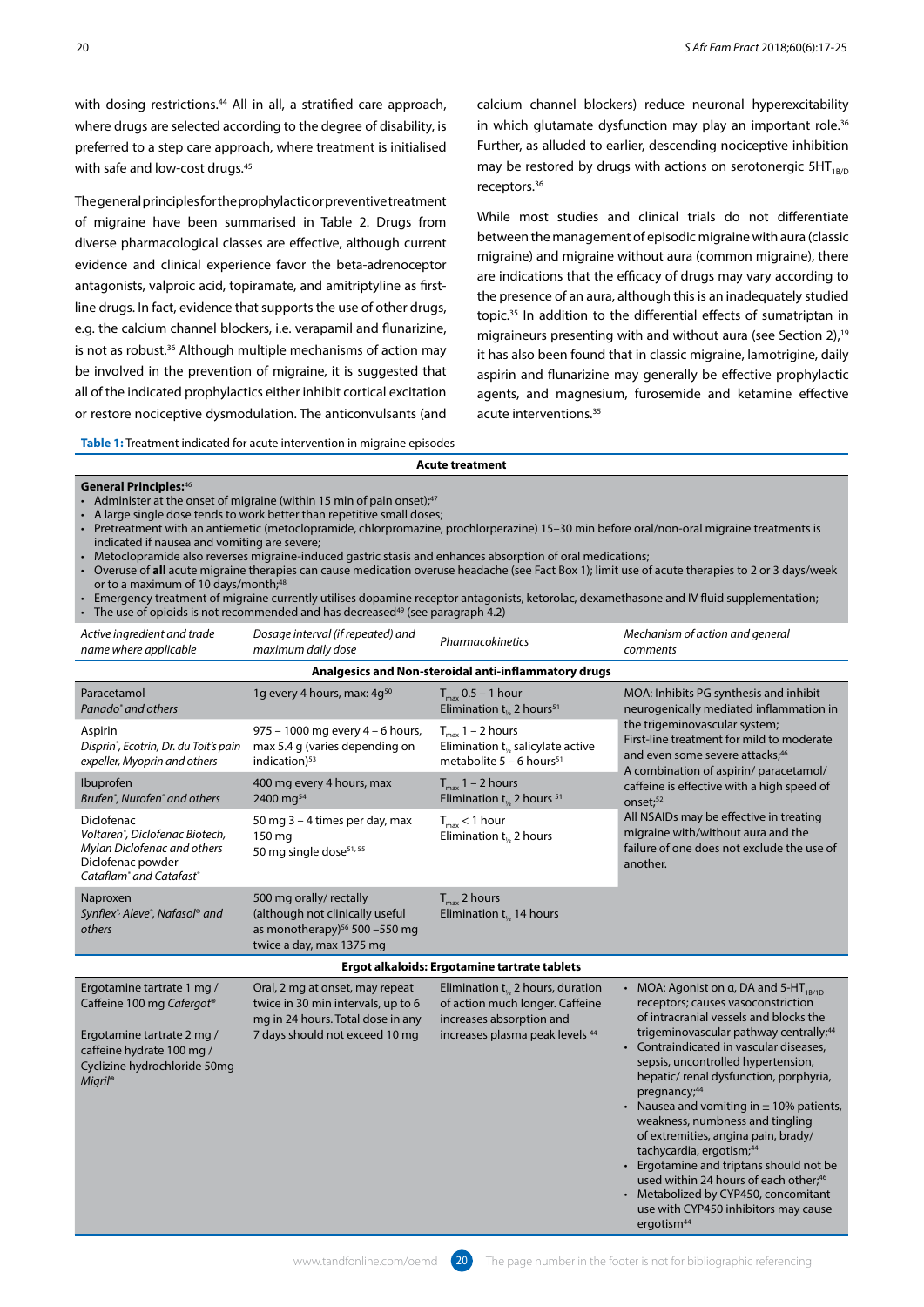with dosing restrictions.<sup>44</sup> All in all, a stratified care approach, where drugs are selected according to the degree of disability, is preferred to a step care approach, where treatment is initialised with safe and low-cost drugs.<sup>45</sup>

The general principles for the prophylactic or preventive treatment of migraine have been summarised in Table 2. Drugs from diverse pharmacological classes are effective, although current evidence and clinical experience favor the beta-adrenoceptor antagonists, valproic acid, topiramate, and amitriptyline as firstline drugs. In fact, evidence that supports the use of other drugs, e.g. the calcium channel blockers, i.e. verapamil and flunarizine, is not as robust.<sup>36</sup> Although multiple mechanisms of action may be involved in the prevention of migraine, it is suggested that all of the indicated prophylactics either inhibit cortical excitation or restore nociceptive dysmodulation. The anticonvulsants (and calcium channel blockers) reduce neuronal hyperexcitability in which glutamate dysfunction may play an important role.<sup>36</sup> Further, as alluded to earlier, descending nociceptive inhibition may be restored by drugs with actions on serotonergic  $5HT_{1BD}$ receptors.36

While most studies and clinical trials do not differentiate between the management of episodic migraine with aura (classic migraine) and migraine without aura (common migraine), there are indications that the efficacy of drugs may vary according to the presence of an aura, although this is an inadequately studied topic.35 In addition to the differential effects of sumatriptan in migraineurs presenting with and without aura (see Section 2),<sup>19</sup> it has also been found that in classic migraine, lamotrigine, daily aspirin and flunarizine may generally be effective prophylactic agents, and magnesium, furosemide and ketamine effective acute interventions.35

**Table 1:** Treatment indicated for acute intervention in migraine episodes

#### **General Principles:**<sup>46</sup>

- Administer at the onset of migraine (within 15 min of pain onset);<sup>47</sup>
- A large single dose tends to work better than repetitive small doses;
- Pretreatment with an antiemetic (metoclopramide, chlorpromazine, prochlorperazine) 15–30 min before oral/non-oral migraine treatments is indicated if nausea and vomiting are severe;
- Metoclopramide also reverses migraine-induced gastric stasis and enhances absorption of oral medications;
- Overuse of **all** acute migraine therapies can cause medication overuse headache (see Fact Box 1); limit use of acute therapies to 2 or 3 days/week or to a maximum of 10 days/month; $48$

**Acute treatment**

• Emergency treatment of migraine currently utilises dopamine receptor antagonists, ketorolac, dexamethasone and IV fluid supplementation; The use of opioids is not recommended and has decreased<sup>49</sup> (see paragraph 4.2)

| Active ingredient and trade<br>name where applicable                                          | Dosage interval (if repeated) and<br>maximum daily dose                                             | <b>Pharmacokinetics</b>                                                                                              | Mechanism of action and general<br>comments                                                                                                                                                                                               |  |
|-----------------------------------------------------------------------------------------------|-----------------------------------------------------------------------------------------------------|----------------------------------------------------------------------------------------------------------------------|-------------------------------------------------------------------------------------------------------------------------------------------------------------------------------------------------------------------------------------------|--|
| Analgesics and Non-steroidal anti-inflammatory drugs                                          |                                                                                                     |                                                                                                                      |                                                                                                                                                                                                                                           |  |
| Paracetamol<br>Panado <sup>®</sup> and others                                                 | 1g every 4 hours, max: 4g <sup>50</sup>                                                             | $T_{\text{max}}$ 0.5 – 1 hour<br>Elimination $t_{\kappa}$ 2 hours <sup>51</sup>                                      | MOA: Inhibits PG synthesis and inhibit<br>neurogenically mediated inflammation in                                                                                                                                                         |  |
| Aspirin<br>Disprin <sup>®</sup> , Ecotrin, Dr. du Toit's pain<br>expeller, Myoprin and others | $975 - 1000$ mg every $4 - 6$ hours,<br>max 5.4 g (varies depending on<br>indication) <sup>53</sup> | $T_{\text{max}}$ 1 – 2 hours<br>Elimination $t_{\kappa}$ salicylate active<br>metabolite $5 - 6$ hours <sup>51</sup> | the trigeminovascular system;<br>First-line treatment for mild to moderate<br>and even some severe attacks; <sup>46</sup><br>A combination of aspirin/ paracetamol/<br>caffeine is effective with a high speed of<br>onset: <sup>52</sup> |  |
| <b>Ibuprofen</b><br>Brufen <sup>®</sup> , Nurofen <sup>®</sup> and others                     | 400 mg every 4 hours, max<br>2400 mg <sup>54</sup>                                                  | $T_{\text{max}}$ 1 – 2 hours<br>Elimination $t_{1/2}$ 2 hours <sup>51</sup>                                          |                                                                                                                                                                                                                                           |  |

| Diclofenac<br>Voltaren®, Diclofenac Biotech,<br>Mylan Diclofenac and others<br>Diclofenac powder<br>Cataflam <sup>®</sup> and Catafast <sup>®</sup> | 50 mg 3 - 4 times per day, max<br>150 mg<br>50 mg single dose <sup>51, 55</sup>                                                              | $T_{\text{max}}$ < 1 hour<br>Elimination $t_{12}$ 2 hours                                                                                | All NSAIDs may be effective in treating<br>migraine with/without aura and the<br>failure of one does not exclude the use<br>another.                                           |
|-----------------------------------------------------------------------------------------------------------------------------------------------------|----------------------------------------------------------------------------------------------------------------------------------------------|------------------------------------------------------------------------------------------------------------------------------------------|--------------------------------------------------------------------------------------------------------------------------------------------------------------------------------|
| Naproxen<br>Synflex <sup>*</sup> Aleve <sup>*</sup> , Nafasol <sup>®</sup> and<br>others                                                            | 500 mg orally/ rectally<br>(although not clinically useful<br>as monotherapy) $56$ 500 -550 mg<br>twice a day, max 1375 mg                   | $T_{\text{max}}$ 2 hours<br>Elimination $t_{12}$ 14 hours                                                                                |                                                                                                                                                                                |
|                                                                                                                                                     |                                                                                                                                              | Ergot alkaloids: Ergotamine tartrate tablets                                                                                             |                                                                                                                                                                                |
| Ergotamine tartrate 1 mg /<br>Caffeine 100 mg Cafergot®<br>Ergotamine tartrate 2 mg /                                                               | Oral, 2 mg at onset, may repeat<br>twice in 30 min intervals, up to 6<br>mg in 24 hours. Total dose in any<br>7 days should not exceed 10 mg | Elimination $t_{12}$ 2 hours, duration<br>of action much longer. Caffeine<br>increases absorption and<br>increases plasma peak levels 44 | MOA: Agonist on $\alpha$ , DA and 5-HT <sub>1B/10</sub><br>receptors; causes vasoconstriction<br>of intracranial vessels and blocks the<br>trigeminovascular pathway centrally |

caffeine hydrate 100 mg / Cyclizine hydrochloride 50mg *Migril*®

DA and 5-HT $_{1B/1D}$  $isoconstriction$ Is and blocks the athway centrally;<sup>44</sup>

aura and the exclude the use of

- Contraindicated in vascular diseases, sepsis, uncontrolled hypertension, hepatic/ renal dysfunction, porphyria, pregnancy;<sup>44</sup>
- Nausea and vomiting in  $\pm$  10% patients, weakness, numbness and tingling of extremities, angina pain, brady/ tachycardia, ergotism;44
- Ergotamine and triptans should not be used within 24 hours of each other;<sup>46</sup>

• Metabolized by CYP450, concomitant use with CYP450 inhibitors may cause ergotism<sup>44</sup>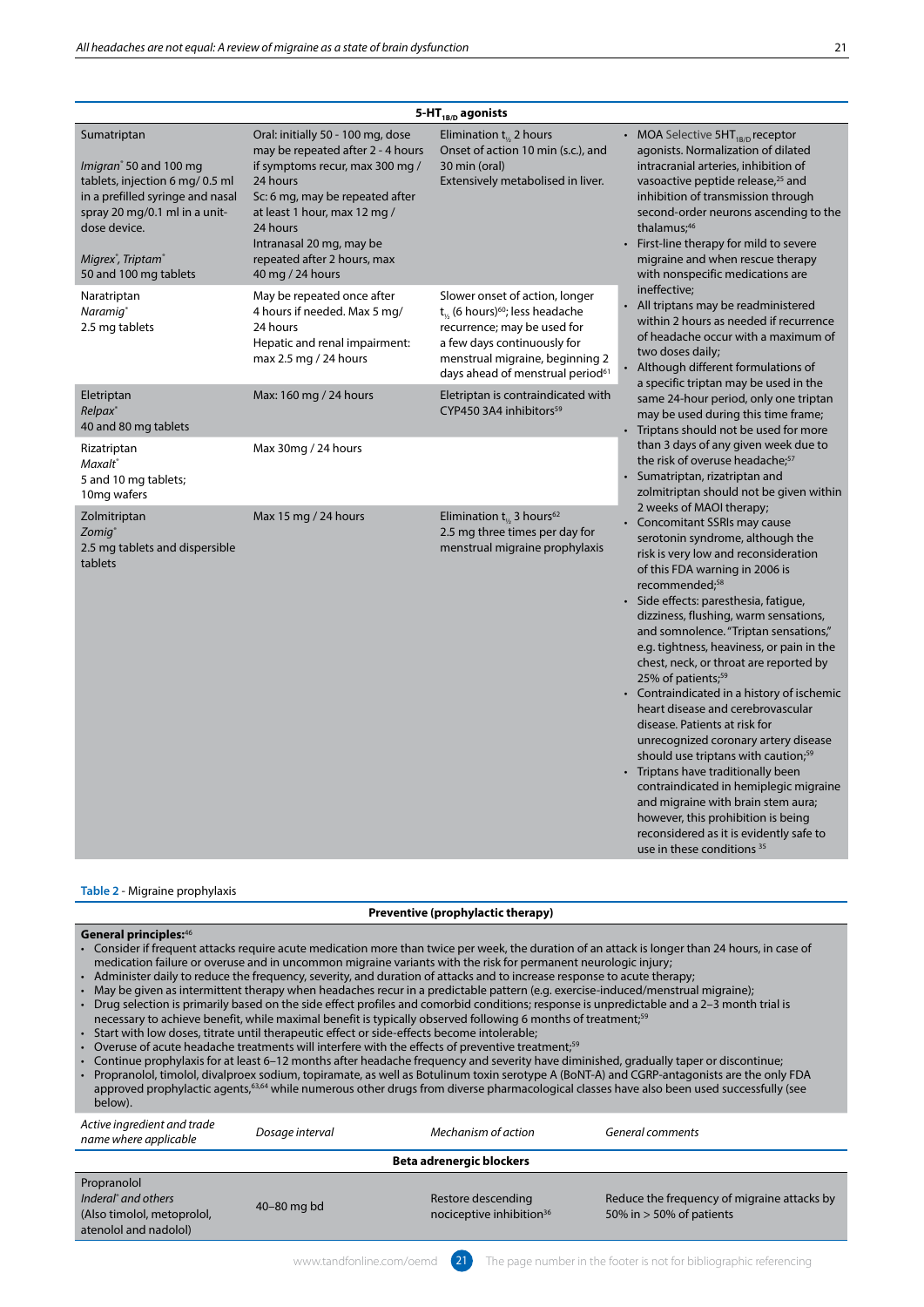| ۰. |  |
|----|--|
|    |  |

| 5-HT <sub>1B/D</sub> agonists                                                                                                                                                                                                                    |                                                                                                                                                                                                                                                                                     |                                                                                                                                                                                                                                      |                                                                                                                                                                                                                                                                                                                                                                                                                                                                                                                                                                                                                                                                                                                                                                                                                                                                                                                      |  |
|--------------------------------------------------------------------------------------------------------------------------------------------------------------------------------------------------------------------------------------------------|-------------------------------------------------------------------------------------------------------------------------------------------------------------------------------------------------------------------------------------------------------------------------------------|--------------------------------------------------------------------------------------------------------------------------------------------------------------------------------------------------------------------------------------|----------------------------------------------------------------------------------------------------------------------------------------------------------------------------------------------------------------------------------------------------------------------------------------------------------------------------------------------------------------------------------------------------------------------------------------------------------------------------------------------------------------------------------------------------------------------------------------------------------------------------------------------------------------------------------------------------------------------------------------------------------------------------------------------------------------------------------------------------------------------------------------------------------------------|--|
| Sumatriptan<br>Imigran <sup>®</sup> 50 and 100 mg<br>tablets, injection 6 mg/ 0.5 ml<br>in a prefilled syringe and nasal<br>spray 20 mg/0.1 ml in a unit-<br>dose device.<br>Migrex <sup>®</sup> , Triptam <sup>®</sup><br>50 and 100 mg tablets | Oral: initially 50 - 100 mg, dose<br>may be repeated after 2 - 4 hours<br>if symptoms recur, max 300 mg /<br>24 hours<br>Sc: 6 mg, may be repeated after<br>at least 1 hour, max 12 mg /<br>24 hours<br>Intranasal 20 mg, may be<br>repeated after 2 hours, max<br>40 mg / 24 hours | Elimination $t_{1/2}$ 2 hours<br>Onset of action 10 min (s.c.), and<br>30 min (oral)<br>Extensively metabolised in liver.                                                                                                            | MOA Selective 5HT <sub>1B/D</sub> receptor<br>agonists. Normalization of dilated<br>intracranial arteries, inhibition of<br>vasoactive peptide release, <sup>25</sup> and<br>inhibition of transmission through<br>second-order neurons ascending to the<br>thalamus; <sup>46</sup><br>First-line therapy for mild to severe<br>migraine and when rescue therapy<br>with nonspecific medications are                                                                                                                                                                                                                                                                                                                                                                                                                                                                                                                 |  |
| Naratriptan<br>Naramig <sup>®</sup><br>2.5 mg tablets                                                                                                                                                                                            | May be repeated once after<br>4 hours if needed. Max 5 mg/<br>24 hours<br>Hepatic and renal impairment:<br>max 2.5 mg / 24 hours                                                                                                                                                    | Slower onset of action, longer<br>$t_{1/2}$ (6 hours) <sup>60</sup> ; less headache<br>recurrence; may be used for<br>a few days continuously for<br>menstrual migraine, beginning 2<br>days ahead of menstrual period <sup>61</sup> | ineffective;<br>All triptans may be readministered<br>$\bullet$<br>within 2 hours as needed if recurrence<br>of headache occur with a maximum of<br>two doses daily;<br>Although different formulations of<br>$\bullet$<br>a specific triptan may be used in the                                                                                                                                                                                                                                                                                                                                                                                                                                                                                                                                                                                                                                                     |  |
| Eletriptan<br>Relpax <sup>®</sup><br>40 and 80 mg tablets                                                                                                                                                                                        | Max: 160 mg / 24 hours                                                                                                                                                                                                                                                              | Eletriptan is contraindicated with<br>CYP450 3A4 inhibitors <sup>59</sup>                                                                                                                                                            | same 24-hour period, only one triptan<br>may be used during this time frame;<br>Triptans should not be used for more                                                                                                                                                                                                                                                                                                                                                                                                                                                                                                                                                                                                                                                                                                                                                                                                 |  |
| Rizatriptan<br>Maxalt <sup>®</sup><br>5 and 10 mg tablets;<br>10mg wafers                                                                                                                                                                        | Max 30mg / 24 hours                                                                                                                                                                                                                                                                 |                                                                                                                                                                                                                                      | than 3 days of any given week due to<br>the risk of overuse headache; <sup>57</sup><br>Sumatriptan, rizatriptan and<br>zolmitriptan should not be given within                                                                                                                                                                                                                                                                                                                                                                                                                                                                                                                                                                                                                                                                                                                                                       |  |
| Zolmitriptan<br>Zomig <sup>®</sup><br>2.5 mg tablets and dispersible<br>tablets                                                                                                                                                                  | Max 15 mg / 24 hours                                                                                                                                                                                                                                                                | Elimination $t_{1/2}$ 3 hours <sup>62</sup><br>2.5 mg three times per day for<br>menstrual migraine prophylaxis                                                                                                                      | 2 weeks of MAOI therapy;<br>Concomitant SSRIs may cause<br>serotonin syndrome, although the<br>risk is very low and reconsideration<br>of this FDA warning in 2006 is<br>recommended; <sup>58</sup><br>Side effects: paresthesia, fatigue,<br>dizziness, flushing, warm sensations,<br>and somnolence. "Triptan sensations,"<br>e.g. tightness, heaviness, or pain in the<br>chest, neck, or throat are reported by<br>25% of patients; <sup>59</sup><br>• Contraindicated in a history of ischemic<br>heart disease and cerebrovascular<br>disease. Patients at risk for<br>unrecognized coronary artery disease<br>should use triptans with caution; <sup>59</sup><br>• Triptans have traditionally been<br>contraindicated in hemiplegic migraine<br>and migraine with brain stem aura;<br>however, this prohibition is being<br>reconsidered as it is evidently safe to<br>use in these conditions <sup>35</sup> |  |

#### **Table 2** - Migraine prophylaxis

## **Preventive (prophylactic therapy)**

#### **General principles:**<sup>46</sup>

- Consider if frequent attacks require acute medication more than twice per week, the duration of an attack is longer than 24 hours, in case of medication failure or overuse and in uncommon migraine variants with the risk for permanent neurologic injury;
- Administer daily to reduce the frequency, severity, and duration of attacks and to increase response to acute therapy;
- May be given as intermittent therapy when headaches recur in a predictable pattern (e.g. exercise-induced/menstrual migraine);
- Drug selection is primarily based on the side effect profiles and comorbid conditions; response is unpredictable and a 2–3 month trial is
- necessary to achieve benefit, while maximal benefit is typically observed following 6 months of treatment;<sup>59</sup>
- Start with low doses, titrate until therapeutic effect or side-effects become intolerable;
- Overuse of acute headache treatments will interfere with the effects of preventive treatment;<sup>59</sup>
- Continue prophylaxis for at least 6–12 months after headache frequency and severity have diminished, gradually taper or discontinue;
- Propranolol, timolol, divalproex sodium, topiramate, as well as Botulinum toxin serotype A (BoNT-A) and CGRP-antagonists are the only FDA
- approved prophylactic agents,63,64 while numerous other drugs from diverse pharmacological classes have also been used successfully (see below).

| Active ingredient and trade<br>name where applicable                                                  | Dosage interval | Mechanism of action                                        | General comments                                                          |
|-------------------------------------------------------------------------------------------------------|-----------------|------------------------------------------------------------|---------------------------------------------------------------------------|
| <b>Beta adrenergic blockers</b>                                                                       |                 |                                                            |                                                                           |
| Propranolol<br>Inderal <sup>®</sup> and others<br>(Also timolol, metoprolol,<br>atenolol and nadolol) | 40-80 mg bd     | Restore descending<br>nociceptive inhibition <sup>36</sup> | Reduce the frequency of migraine attacks by<br>50% in $>$ 50% of patients |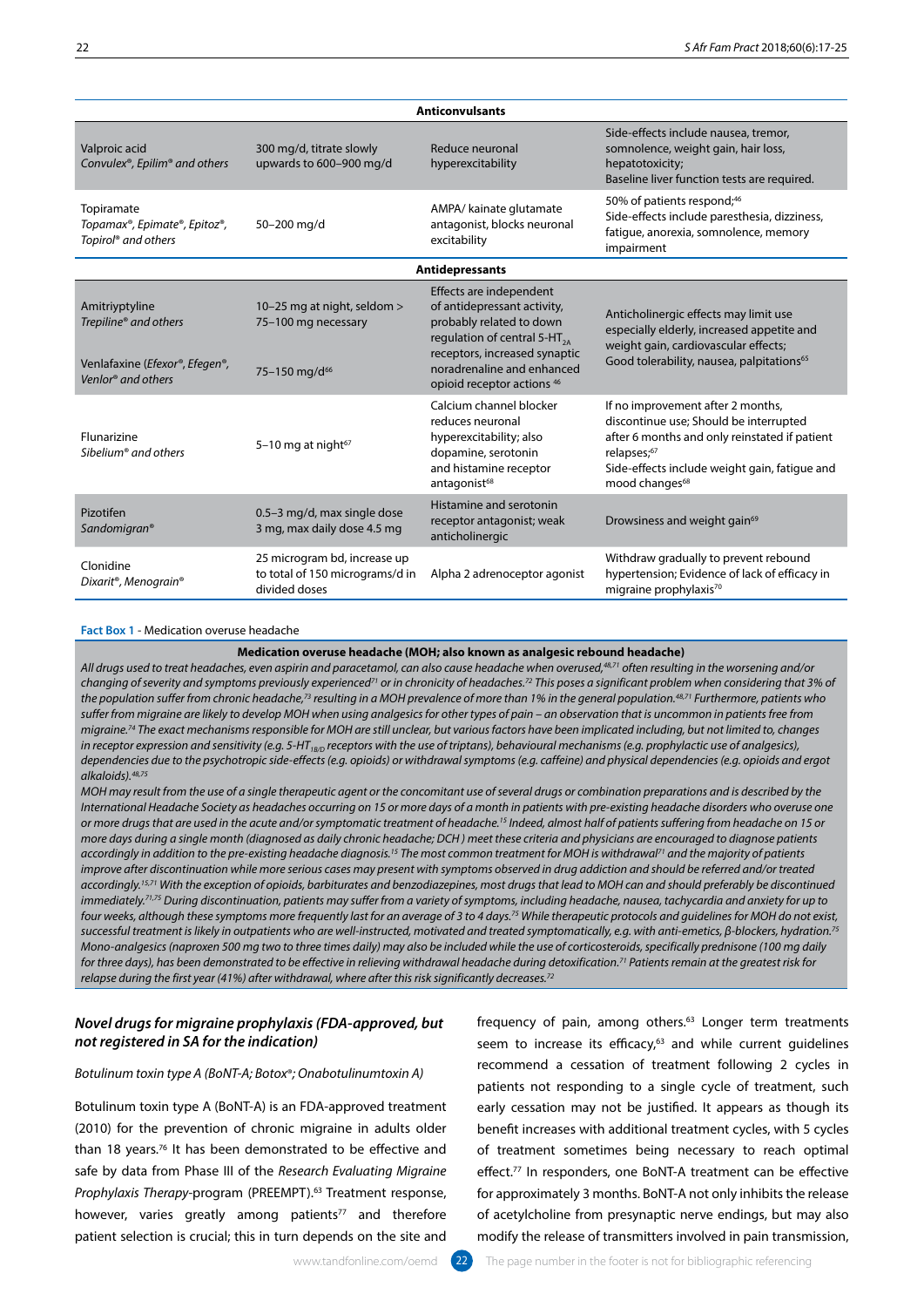| <b>Anticonvulsants</b>                                                                                                       |                                                                                  |                                                                                                                                                                                                                                        |                                                                                                                                                                                                                            |
|------------------------------------------------------------------------------------------------------------------------------|----------------------------------------------------------------------------------|----------------------------------------------------------------------------------------------------------------------------------------------------------------------------------------------------------------------------------------|----------------------------------------------------------------------------------------------------------------------------------------------------------------------------------------------------------------------------|
| Valproic acid<br>Convulex®, Epilim® and others                                                                               | 300 mg/d, titrate slowly<br>upwards to 600-900 mg/d                              | Reduce neuronal<br>hyperexcitability                                                                                                                                                                                                   | Side-effects include nausea, tremor,<br>somnolence, weight gain, hair loss,<br>hepatotoxicity;<br>Baseline liver function tests are required.                                                                              |
| Topiramate<br>Topamax®, Epimate®, Epitoz®,<br>Topirol <sup>®</sup> and others                                                | 50-200 mg/d                                                                      | AMPA/ kainate glutamate<br>antagonist, blocks neuronal<br>excitability                                                                                                                                                                 | 50% of patients respond; <sup>46</sup><br>Side-effects include paresthesia, dizziness,<br>fatigue, anorexia, somnolence, memory<br>impairment                                                                              |
|                                                                                                                              |                                                                                  | <b>Antidepressants</b>                                                                                                                                                                                                                 |                                                                                                                                                                                                                            |
| Amitriyptyline<br>Trepiline® and others<br>Venlafaxine ( <i>Efexor®</i> , <i>Efegen®</i> ,<br>Venlor <sup>®</sup> and others | 10-25 mg at night, seldom ><br>75-100 mg necessary<br>75-150 mg/d <sup>66</sup>  | Effects are independent<br>of antidepressant activity,<br>probably related to down<br>regulation of central 5-HT <sub>2A</sub><br>receptors, increased synaptic<br>noradrenaline and enhanced<br>opioid receptor actions <sup>46</sup> | Anticholinergic effects may limit use<br>especially elderly, increased appetite and<br>weight gain, cardiovascular effects;<br>Good tolerability, nausea, palpitations <sup>65</sup>                                       |
| Flunarizine<br>Sibelium <sup>®</sup> and others                                                                              | 5-10 mg at night <sup>67</sup>                                                   | Calcium channel blocker<br>reduces neuronal<br>hyperexcitability; also<br>dopamine, serotonin<br>and histamine receptor<br>antagonist <sup>68</sup>                                                                                    | If no improvement after 2 months,<br>discontinue use; Should be interrupted<br>after 6 months and only reinstated if patient<br>relapses;67<br>Side-effects include weight gain, fatigue and<br>mood changes <sup>68</sup> |
| Pizotifen<br>Sandomigran®                                                                                                    | 0.5-3 mg/d, max single dose<br>3 mg, max daily dose 4.5 mg                       | Histamine and serotonin<br>receptor antagonist; weak<br>anticholinergic                                                                                                                                                                | Drowsiness and weight gain <sup>69</sup>                                                                                                                                                                                   |
| Clonidine<br>Dixarit®, Menograin®                                                                                            | 25 microgram bd, increase up<br>to total of 150 micrograms/d in<br>divided doses | Alpha 2 adrenoceptor agonist                                                                                                                                                                                                           | Withdraw gradually to prevent rebound<br>hypertension; Evidence of lack of efficacy in<br>migraine prophylaxis <sup>70</sup>                                                                                               |

#### **Fact Box 1** - Medication overuse headache

#### **Medication overuse headache (MOH; also known as analgesic rebound headache)**

*All drugs used to treat headaches, even aspirin and paracetamol, can also cause headache when overused,48,71 often resulting in the worsening and/or changing of severity and symptoms previously experienced71 or in chronicity of headaches.72 This poses a significant problem when considering that 3% of the population suffer from chronic headache,73 resulting in a MOH prevalence of more than 1% in the general population.48,71 Furthermore, patients who suffer from migraine are likely to develop MOH when using analgesics for other types of pain – an observation that is uncommon in patients free from migraine.74 The exact mechanisms responsible for MOH are still unclear, but various factors have been implicated including, but not limited to, changes*  in receptor expression and sensitivity (e.g. 5-HT<sub>1B/D</sub> receptors with the use of triptans), behavioural mechanisms (e.g. prophylactic use of analgesics), *dependencies due to the psychotropic side-effects (e.g. opioids) or withdrawal symptoms (e.g. caffeine) and physical dependencies (e.g. opioids and ergot alkaloids).48,75*

*MOH may result from the use of a single therapeutic agent or the concomitant use of several drugs or combination preparations and is described by the International Headache Society as headaches occurring on 15 or more days of a month in patients with pre-existing headache disorders who overuse one or more drugs that are used in the acute and/or symptomatic treatment of headache.15 Indeed, almost half of patients suffering from headache on 15 or more days during a single month (diagnosed as daily chronic headache; DCH ) meet these criteria and physicians are encouraged to diagnose patients accordingly in addition to the pre-existing headache diagnosis.15 The most common treatment for MOH is withdrawal71 and the majority of patients*  improve after discontinuation while more serious cases may present with symptoms observed in drug addiction and should be referred and/or treated *accordingly.15,71 With the exception of opioids, barbiturates and benzodiazepines, most drugs that lead to MOH can and should preferably be discontinued immediately.71,75 During discontinuation, patients may suffer from a variety of symptoms, including headache, nausea, tachycardia and anxiety for up to four weeks, although these symptoms more frequently last for an average of 3 to 4 days.75 While therapeutic protocols and guidelines for MOH do not exist, successful treatment is likely in outpatients who are well-instructed, motivated and treated symptomatically, e.g. with anti-emetics, β-blockers, hydration.75 Mono-analgesics (naproxen 500 mg two to three times daily) may also be included while the use of corticosteroids, specifically prednisone (100 mg daily for three days), has been demonstrated to be effective in relieving withdrawal headache during detoxification.71 Patients remain at the greatest risk for relapse during the first year (41%) after withdrawal, where after this risk significantly decreases.72*

# *Novel drugs for migraine prophylaxis (FDA-approved, but not registered in SA for the indication)*

#### *Botulinum toxin type A (BoNT-A; Botox*®*; Onabotulinumtoxin A)*

Botulinum toxin type A (BoNT-A) is an FDA-approved treatment (2010) for the prevention of chronic migraine in adults older than 18 years.76 It has been demonstrated to be effective and safe by data from Phase III of the *Research Evaluating Migraine Prophylaxis Therapy-*program (PREEMPT).63 Treatment response, however, varies greatly among patients<sup>77</sup> and therefore patient selection is crucial; this in turn depends on the site and

frequency of pain, among others.<sup>63</sup> Longer term treatments seem to increase its efficacy, $63$  and while current guidelines recommend a cessation of treatment following 2 cycles in patients not responding to a single cycle of treatment, such early cessation may not be justified. It appears as though its benefit increases with additional treatment cycles, with 5 cycles of treatment sometimes being necessary to reach optimal effect.<sup>77</sup> In responders, one BoNT-A treatment can be effective for approximately 3 months. BoNT-A not only inhibits the release of acetylcholine from presynaptic nerve endings, but may also modify the release of transmitters involved in pain transmission,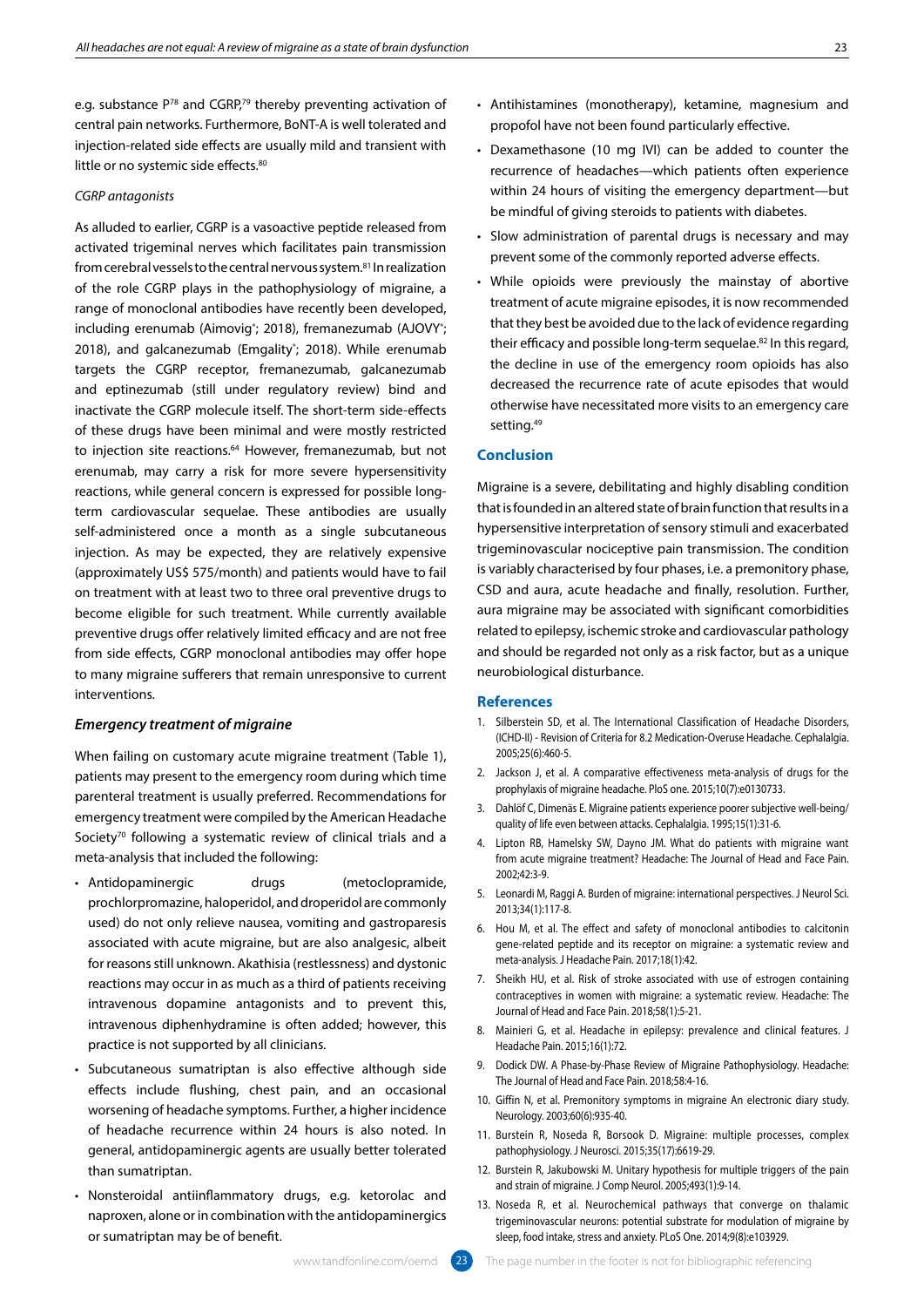e.g. substance P<sup>78</sup> and CGRP,<sup>79</sup> thereby preventing activation of central pain networks. Furthermore, BoNT-A is well tolerated and injection-related side effects are usually mild and transient with little or no systemic side effects.<sup>80</sup>

## *CGRP antagonists*

As alluded to earlier, CGRP is a vasoactive peptide released from activated trigeminal nerves which facilitates pain transmission from cerebral vessels to the central nervous system.<sup>81</sup> In realization of the role CGRP plays in the pathophysiology of migraine, a range of monoclonal antibodies have recently been developed, including erenumab (Aimovig<sup>®</sup>; 2018), fremanezumab (AJOVY<sup>®</sup>; 2018), and galcanezumab (Emgality<sup>®</sup>; 2018). While erenumab targets the CGRP receptor, fremanezumab, galcanezumab and eptinezumab (still under regulatory review) bind and inactivate the CGRP molecule itself. The short-term side-effects of these drugs have been minimal and were mostly restricted to injection site reactions.<sup>64</sup> However, fremanezumab, but not erenumab, may carry a risk for more severe hypersensitivity reactions, while general concern is expressed for possible longterm cardiovascular sequelae. These antibodies are usually self-administered once a month as a single subcutaneous injection. As may be expected, they are relatively expensive (approximately US\$ 575/month) and patients would have to fail on treatment with at least two to three oral preventive drugs to become eligible for such treatment. While currently available preventive drugs offer relatively limited efficacy and are not free from side effects, CGRP monoclonal antibodies may offer hope to many migraine sufferers that remain unresponsive to current interventions.

# *Emergency treatment of migraine*

When failing on customary acute migraine treatment (Table 1), patients may present to the emergency room during which time parenteral treatment is usually preferred. Recommendations for emergency treatment were compiled by the American Headache Society<sup>70</sup> following a systematic review of clinical trials and a meta-analysis that included the following:

- Antidopaminergic drugs (metoclopramide, prochlorpromazine, haloperidol, and droperidol are commonly used) do not only relieve nausea, vomiting and gastroparesis associated with acute migraine, but are also analgesic, albeit for reasons still unknown. Akathisia (restlessness) and dystonic reactions may occur in as much as a third of patients receiving intravenous dopamine antagonists and to prevent this, intravenous diphenhydramine is often added; however, this practice is not supported by all clinicians.
- Subcutaneous sumatriptan is also effective although side effects include flushing, chest pain, and an occasional worsening of headache symptoms. Further, a higher incidence of headache recurrence within 24 hours is also noted. In general, antidopaminergic agents are usually better tolerated than sumatriptan.
- Nonsteroidal antiinflammatory drugs, e.g. ketorolac and naproxen, alone or in combination with the antidopaminergics or sumatriptan may be of benefit.
- Antihistamines (monotherapy), ketamine, magnesium and propofol have not been found particularly effective.
- Dexamethasone (10 mg IVI) can be added to counter the recurrence of headaches—which patients often experience within 24 hours of visiting the emergency department—but be mindful of giving steroids to patients with diabetes.
- Slow administration of parental drugs is necessary and may prevent some of the commonly reported adverse effects.
- While opioids were previously the mainstay of abortive treatment of acute migraine episodes, it is now recommended that they best be avoided due to the lack of evidence regarding their efficacy and possible long-term sequelae.82 In this regard, the decline in use of the emergency room opioids has also decreased the recurrence rate of acute episodes that would otherwise have necessitated more visits to an emergency care setting.<sup>49</sup>

### **Conclusion**

Migraine is a severe, debilitating and highly disabling condition that is founded in an altered state of brain function that results in a hypersensitive interpretation of sensory stimuli and exacerbated trigeminovascular nociceptive pain transmission. The condition is variably characterised by four phases, i.e. a premonitory phase, CSD and aura, acute headache and finally, resolution. Further, aura migraine may be associated with significant comorbidities related to epilepsy, ischemic stroke and cardiovascular pathology and should be regarded not only as a risk factor, but as a unique neurobiological disturbance.

## **References**

- 1. Silberstein SD, et al. The International Classification of Headache Disorders, (ICHD-II) - Revision of Criteria for 8.2 Medication-Overuse Headache. Cephalalgia. 2005;25(6):460-5.
- 2. Jackson J, et al. A comparative effectiveness meta-analysis of drugs for the prophylaxis of migraine headache. PloS one. 2015;10(7):e0130733.
- 3. Dahlöf C, Dimenäs E. Migraine patients experience poorer subjective well-being/ quality of life even between attacks. Cephalalgia. 1995;15(1):31-6.
- 4. Lipton RB, Hamelsky SW, Dayno JM. What do patients with migraine want from acute migraine treatment? Headache: The Journal of Head and Face Pain. 2002;42:3-9.
- 5. Leonardi M, Raggi A. Burden of migraine: international perspectives. J Neurol Sci. 2013;34(1):117-8.
- 6. Hou M, et al. The effect and safety of monoclonal antibodies to calcitonin gene-related peptide and its receptor on migraine: a systematic review and meta-analysis. J Headache Pain. 2017;18(1):42.
- 7. Sheikh HU, et al. Risk of stroke associated with use of estrogen containing contraceptives in women with migraine: a systematic review. Headache: The Journal of Head and Face Pain. 2018;58(1):5-21.
- 8. Mainieri G, et al. Headache in epilepsy: prevalence and clinical features. J Headache Pain. 2015;16(1):72.
- 9. Dodick DW. A Phase‐by‐Phase Review of Migraine Pathophysiology. Headache: The Journal of Head and Face Pain. 2018;58:4-16.
- 10. Giffin N, et al. Premonitory symptoms in migraine An electronic diary study. Neurology. 2003;60(6):935-40.
- 11. Burstein R, Noseda R, Borsook D. Migraine: multiple processes, complex pathophysiology. J Neurosci. 2015;35(17):6619-29.
- 12. Burstein R, Jakubowski M. Unitary hypothesis for multiple triggers of the pain and strain of migraine. J Comp Neurol. 2005;493(1):9-14.
- 13. Noseda R, et al. Neurochemical pathways that converge on thalamic trigeminovascular neurons: potential substrate for modulation of migraine by sleep, food intake, stress and anxiety. PLoS One. 2014;9(8):e103929.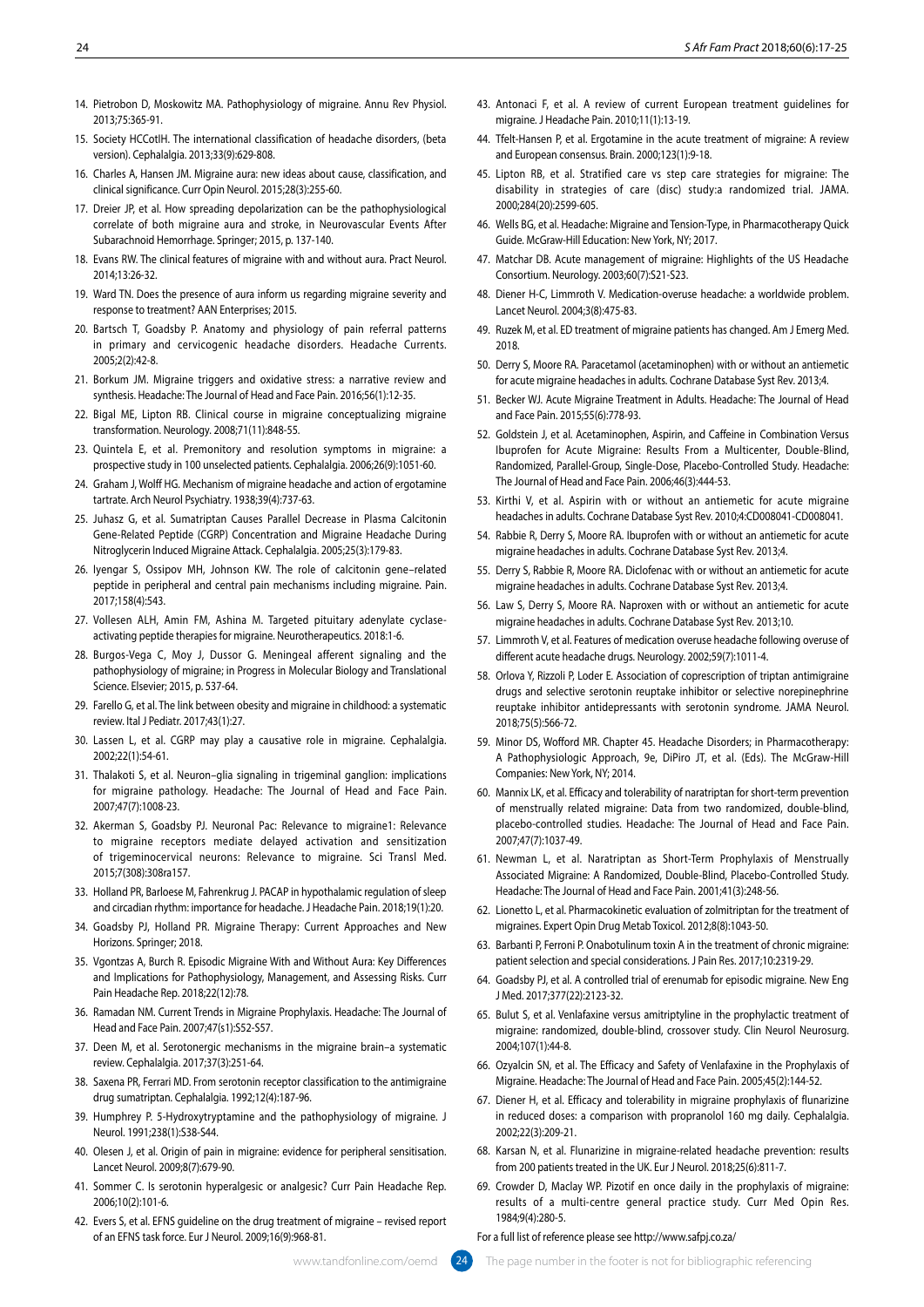- 14. Pietrobon D, Moskowitz MA. Pathophysiology of migraine. Annu Rev Physiol. 2013;75:365-91.
- 15. Society HCCotIH. The international classification of headache disorders, (beta version). Cephalalgia. 2013;33(9):629-808.
- 16. Charles A, Hansen JM. Migraine aura: new ideas about cause, classification, and clinical significance. Curr Opin Neurol. 2015;28(3):255-60.
- 17. Dreier JP, et al. How spreading depolarization can be the pathophysiological correlate of both migraine aura and stroke, in Neurovascular Events After Subarachnoid Hemorrhage. Springer; 2015, p. 137-140.
- 18. Evans RW. The clinical features of migraine with and without aura. Pract Neurol. 2014;13:26-32.
- 19. Ward TN. Does the presence of aura inform us regarding migraine severity and response to treatment? AAN Enterprises; 2015.
- 20. Bartsch T, Goadsby P. Anatomy and physiology of pain referral patterns in primary and cervicogenic headache disorders. Headache Currents. 2005;2(2):42-8.
- 21. Borkum JM. Migraine triggers and oxidative stress: a narrative review and synthesis. Headache: The Journal of Head and Face Pain. 2016;56(1):12-35.
- 22. Bigal ME, Lipton RB. Clinical course in migraine conceptualizing migraine transformation. Neurology. 2008;71(11):848-55.
- 23. Quintela E, et al. Premonitory and resolution symptoms in migraine: a prospective study in 100 unselected patients. Cephalalgia. 2006;26(9):1051-60.
- 24. Graham J, Wolff HG. Mechanism of migraine headache and action of ergotamine tartrate. Arch Neurol Psychiatry. 1938;39(4):737-63.
- 25. Juhasz G, et al. Sumatriptan Causes Parallel Decrease in Plasma Calcitonin Gene-Related Peptide (CGRP) Concentration and Migraine Headache During Nitroglycerin Induced Migraine Attack. Cephalalgia. 2005;25(3):179-83.
- 26. Iyengar S, Ossipov MH, Johnson KW. The role of calcitonin gene–related peptide in peripheral and central pain mechanisms including migraine. Pain. 2017;158(4):543.
- 27. Vollesen ALH, Amin FM, Ashina M. Targeted pituitary adenylate cyclaseactivating peptide therapies for migraine. Neurotherapeutics. 2018:1-6.
- 28. Burgos-Vega C, Moy J, Dussor G. Meningeal afferent signaling and the pathophysiology of migraine; in Progress in Molecular Biology and Translational Science. Elsevier; 2015, p. 537-64.
- 29. Farello G, et al. The link between obesity and migraine in childhood: a systematic review. Ital J Pediatr. 2017;43(1):27.
- 30. Lassen L, et al. CGRP may play a causative role in migraine. Cephalalgia. 2002;22(1):54-61.
- 31. Thalakoti S, et al. Neuron–glia signaling in trigeminal ganglion: implications for migraine pathology. Headache: The Journal of Head and Face Pain. 2007;47(7):1008-23.
- 32. Akerman S, Goadsby PJ. Neuronal Pac: Relevance to migraine1: Relevance to migraine receptors mediate delayed activation and sensitization of trigeminocervical neurons: Relevance to migraine. Sci Transl Med. 2015;7(308):308ra157.
- 33. Holland PR, Barloese M, Fahrenkrug J. PACAP in hypothalamic regulation of sleep and circadian rhythm: importance for headache. J Headache Pain. 2018;19(1):20.
- 34. Goadsby PJ, Holland PR. Migraine Therapy: Current Approaches and New Horizons. Springer; 2018.
- 35. Vgontzas A, Burch R. Episodic Migraine With and Without Aura: Key Differences and Implications for Pathophysiology, Management, and Assessing Risks. Curr Pain Headache Rep. 2018;22(12):78.
- 36. Ramadan NM. Current Trends in Migraine Prophylaxis. Headache: The Journal of Head and Face Pain. 2007;47(s1):S52-S57.
- 37. Deen M, et al. Serotonergic mechanisms in the migraine brain–a systematic review. Cephalalgia. 2017;37(3):251-64.
- 38. Saxena PR, Ferrari MD. From serotonin receptor classification to the antimigraine drug sumatriptan. Cephalalgia. 1992;12(4):187-96.
- 39. Humphrey P. 5-Hydroxytryptamine and the pathophysiology of migraine. J Neurol. 1991;238(1):S38-S44.
- 40. Olesen J, et al. Origin of pain in migraine: evidence for peripheral sensitisation. Lancet Neurol. 2009;8(7):679-90.
- 41. Sommer C. Is serotonin hyperalgesic or analgesic? Curr Pain Headache Rep. 2006;10(2):101-6.
- 42. Evers S, et al. EFNS guideline on the drug treatment of migraine revised report of an EFNS task force. Eur J Neurol. 2009;16(9):968-81.
- 43. Antonaci F, et al. A review of current European treatment guidelines for migraine. J Headache Pain. 2010;11(1):13-19.
- 44. Tfelt-Hansen P, et al. Ergotamine in the acute treatment of migraine: A review and European consensus. Brain. 2000;123(1):9-18.
- 45. Lipton RB, et al. Stratified care vs step care strategies for migraine: The disability in strategies of care (disc) study:a randomized trial. JAMA. 2000;284(20):2599-605.
- 46. Wells BG, et al. Headache: Migraine and Tension-Type, in Pharmacotherapy Quick Guide. McGraw-Hill Education: New York, NY; 2017.
- 47. Matchar DB. Acute management of migraine: Highlights of the US Headache Consortium. Neurology. 2003;60(7):S21-S23.
- 48. Diener H-C, Limmroth V. Medication-overuse headache: a worldwide problem. Lancet Neurol. 2004;3(8):475-83.
- 49. Ruzek M, et al. ED treatment of migraine patients has changed. Am J Emerg Med. 2018.
- 50. Derry S, Moore RA. Paracetamol (acetaminophen) with or without an antiemetic for acute migraine headaches in adults. Cochrane Database Syst Rev. 2013;4.
- 51. Becker WJ. Acute Migraine Treatment in Adults. Headache: The Journal of Head and Face Pain. 2015;55(6):778-93.
- 52. Goldstein J, et al. Acetaminophen, Aspirin, and Caffeine in Combination Versus Ibuprofen for Acute Migraine: Results From a Multicenter, Double-Blind, Randomized, Parallel-Group, Single-Dose, Placebo-Controlled Study. Headache: The Journal of Head and Face Pain. 2006;46(3):444-53.
- 53. Kirthi V, et al. Aspirin with or without an antiemetic for acute migraine headaches in adults. Cochrane Database Syst Rev. 2010;4:CD008041-CD008041.
- 54. Rabbie R, Derry S, Moore RA. Ibuprofen with or without an antiemetic for acute migraine headaches in adults. Cochrane Database Syst Rev. 2013;4.
- 55. Derry S, Rabbie R, Moore RA. Diclofenac with or without an antiemetic for acute migraine headaches in adults. Cochrane Database Syst Rev. 2013;4.
- 56. Law S, Derry S, Moore RA. Naproxen with or without an antiemetic for acute migraine headaches in adults. Cochrane Database Syst Rev. 2013;10.
- 57. Limmroth V, et al. Features of medication overuse headache following overuse of different acute headache drugs. Neurology. 2002;59(7):1011-4.
- 58. Orlova Y, Rizzoli P, Loder E. Association of coprescription of triptan antimigraine drugs and selective serotonin reuptake inhibitor or selective norepinephrine reuptake inhibitor antidepressants with serotonin syndrome. JAMA Neurol. 2018;75(5):566-72.
- 59. Minor DS, Wofford MR. Chapter 45. Headache Disorders; in Pharmacotherapy: A Pathophysiologic Approach, 9e, DiPiro JT, et al. (Eds). The McGraw-Hill Companies: New York, NY; 2014.
- 60. Mannix LK, et al. Efficacy and tolerability of naratriptan for short‐term prevention of menstrually related migraine: Data from two randomized, double‐blind, placebo‐controlled studies. Headache: The Journal of Head and Face Pain. 2007;47(7):1037-49.
- 61. Newman L, et al. Naratriptan as Short-Term Prophylaxis of Menstrually Associated Migraine: A Randomized, Double-Blind, Placebo-Controlled Study. Headache: The Journal of Head and Face Pain. 2001;41(3):248-56.
- 62. Lionetto L, et al. Pharmacokinetic evaluation of zolmitriptan for the treatment of migraines. Expert Opin Drug Metab Toxicol. 2012;8(8):1043-50.
- 63. Barbanti P, Ferroni P. Onabotulinum toxin A in the treatment of chronic migraine: patient selection and special considerations. J Pain Res. 2017;10:2319-29.
- 64. Goadsby PJ, et al. A controlled trial of erenumab for episodic migraine. New Eng J Med. 2017;377(22):2123-32.
- 65. Bulut S, et al. Venlafaxine versus amitriptyline in the prophylactic treatment of migraine: randomized, double-blind, crossover study. Clin Neurol Neurosurg. 2004;107(1):44-8.
- 66. Ozyalcin SN, et al. The Efficacy and Safety of Venlafaxine in the Prophylaxis of Migraine. Headache: The Journal of Head and Face Pain. 2005;45(2):144-52.
- 67. Diener H, et al. Efficacy and tolerability in migraine prophylaxis of flunarizine in reduced doses: a comparison with propranolol 160 mg daily. Cephalalgia. 2002;22(3):209-21.
- 68. Karsan N, et al. Flunarizine in migraine-related headache prevention: results from 200 patients treated in the UK. Eur J Neurol. 2018;25(6):811-7.
- 69. Crowder D, Maclay WP. Pizotif en once daily in the prophylaxis of migraine: results of a multi-centre general practice study. Curr Med Opin Res. 1984;9(4):280-5.

#### For a full list of reference please see http://www.safpj.co.za/